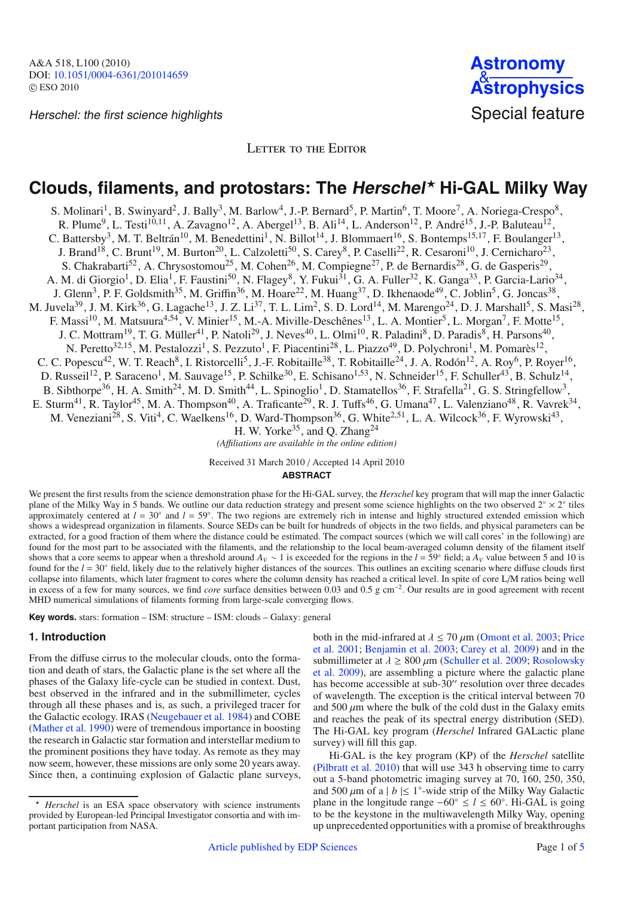Herschel: the first science highlights Special feature



LETTER TO THE EDITOR

# **Clouds, filaments, and protostars: The Herschel**- **Hi-GAL Milky Way**

S. Molinari<sup>1</sup>, B. Swinyard<sup>2</sup>, J. Bally<sup>3</sup>, M. Barlow<sup>4</sup>, J.-P. Bernard<sup>5</sup>, P. Martin<sup>6</sup>, T. Moore<sup>7</sup>, A. Noriega-Crespo<sup>8</sup>, R. Plume<sup>9</sup>, L. Testi<sup>10,11</sup>, A. Zavagno<sup>12</sup>, A. Abergel<sup>13</sup>, B. Ali<sup>14</sup>, L. Anderson<sup>12</sup>, P. André<sup>15</sup>, J.-P. Baluteau<sup>12</sup>, C. Battersby<sup>3</sup>, M. T. Beltrán<sup>10</sup>, M. Benedettini<sup>1</sup>, N. Billot<sup>14</sup>, J. Blommaert<sup>16</sup>, S. Bontemps<sup>15,17</sup>, F. Boulanger<sup>13</sup>, J. Brand<sup>18</sup>, C. Brunt<sup>19</sup>, M. Burton<sup>20</sup>, L. Calzoletti<sup>50</sup>, S. Carey<sup>8</sup>, P. Caselli<sup>22</sup>, R. Cesaroni<sup>10</sup>, J. Cernicharo<sup>23</sup>, S. Chakrabarti<sup>52</sup>, A. Chrysostomou<sup>25</sup>, M. Cohen<sup>26</sup>, M. Compiegne<sup>27</sup>, P. de Bernardis<sup>28</sup>, G. de Gasperis<sup>29</sup>, A. M. di Giorgio<sup>1</sup>, D. Elia<sup>1</sup>, F. Faustini<sup>50</sup>, N. Flagey<sup>8</sup>, Y. Fukui<sup>31</sup>, G. A. Fuller<sup>32</sup>, K. Ganga<sup>33</sup>, P. Garcia-Lario<sup>34</sup>, J. Glenn<sup>3</sup>, P. F. Goldsmith<sup>35</sup>, M. Griffin<sup>36</sup>, M. Hoare<sup>22</sup>, M. Huang<sup>37</sup>, D. Ikhenaode<sup>49</sup>, C. Joblin<sup>5</sup>, G. Joncas<sup>38</sup>, M. Juvela<sup>39</sup>, J. M. Kirk<sup>36</sup>, G. Lagache<sup>13</sup>, J. Z. Li<sup>37</sup>, T. L. Lim<sup>2</sup>, S. D. Lord<sup>14</sup>, M. Marengo<sup>24</sup>, D. J. Marshall<sup>5</sup>, S. Masi<sup>28</sup>, F. Massi<sup>10</sup>, M. Matsuura<sup>4,54</sup>, V. Minier<sup>15</sup>, M.-A. Miville-Deschênes<sup>13</sup>, L. A. Montier<sup>5</sup>, L. Morgan<sup>7</sup>, F. Motte<sup>15</sup>, J. C. Mottram<sup>19</sup>, T. G. Müller<sup>41</sup>, P. Natoli<sup>29</sup>, J. Neves<sup>40</sup>, L. Olmi<sup>10</sup>, R. Paladini<sup>8</sup>, D. Paradis<sup>8</sup>, H. Parsons<sup>40</sup>, N. Peretto<sup>32,15</sup>, M. Pestalozzi<sup>1</sup>, S. Pezzuto<sup>1</sup>, F. Piacentini<sup>28</sup>, L. Piazzo<sup>49</sup>, D. Polychroni<sup>1</sup>, M. Pomarès<sup>12</sup>, C. C. Popescu<sup>42</sup>, W. T. Reach<sup>8</sup>, I. Ristorcelli<sup>5</sup>, J.-F. Robitaille<sup>38</sup>, T. Robitaille<sup>24</sup>, J. A. Rodón<sup>12</sup>, A. Roy<sup>6</sup>, P. Royer<sup>16</sup>, D. Russeil<sup>12</sup>, P. Saraceno<sup>1</sup>, M. Sauvage<sup>15</sup>, P. Schilke<sup>30</sup>, E. Schisano<sup>1,53</sup>, N. Schneider<sup>15</sup>, F. Schuller<sup>43</sup>, B. Schulz<sup>14</sup>, B. Sibthorpe<sup>36</sup>, H. A. Smith<sup>24</sup>, M. D. Smith<sup>44</sup>, L. Spinoglio<sup>1</sup>, D. Stamatellos<sup>36</sup>, F. Strafella<sup>21</sup>, G. S. Stringfellow<sup>3</sup>, E. Sturm<sup>41</sup>, R. Taylor<sup>45</sup>, M. A. Thompson<sup>40</sup>, A. Traficante<sup>29</sup>, R. J. Tuffs<sup>46</sup>, G. Umana<sup>47</sup>, L. Valenziano<sup>48</sup>, R. Vavrek<sup>34</sup>, M. Veneziani<sup>28</sup>, S. Viti<sup>4</sup>, C. Waelkens<sup>16</sup>, D. Ward-Thompson<sup>36</sup>, G. White<sup>2,51</sup>, L. A. Wilcock<sup>36</sup>, F. Wyrowski<sup>43</sup>, H. W. Yorke<sup>35</sup>, and Q. Zhang<sup>24</sup>

*(A*ffi*liations are available in the online edition)*

Received 31 March 2010 / Accepted 14 April 2010

## **ABSTRACT**

We present the first results from the science demonstration phase for the Hi-GAL survey, the *Herschel* key program that will map the inner Galactic plane of the Milky Way in 5 bands. We outline our data reduction strategy and present some science highlights on the two observed 2◦ × 2◦ tiles approximately centered at  $l = 30°$  and  $l = 59°$ . The two regions are extremely rich in intense and highly structured extended emission which shows a widespread organization in filaments. Source SEDs can be built for hundreds of objects in the two fields, and physical parameters can be extracted, for a good fraction of them where the distance could be estimated. The compact sources (which we will call cores' in the following) are found for the most part to be associated with the filaments, and the relationship to the local beam-averaged column density of the filament itself shows that a core seems to appear when a threshold around  $A_V \sim 1$  is exceeded for the regions in the *l* = 59° field; a  $A_V$  value between 5 and 10 is found for the  $l = 30°$  field, likely due to the relatively higher distances of the sources. This outlines an exciting scenario where diffuse clouds first collapse into filaments, which later fragment to cores where the column density has reached a critical level. In spite of core L/M ratios being well in excess of a few for many sources, we find *core* surface densities between 0.03 and 0.5 g cm−2. Our results are in good agreement with recent MHD numerical simulations of filaments forming from large-scale converging flows.

**Key words.** stars: formation – ISM: structure – ISM: clouds – Galaxy: general

# **1. Introduction**

From the diffuse cirrus to the molecular clouds, onto the formation and death of stars, the Galactic plane is the set where all the phases of the Galaxy life-cycle can be studied in context. Dust, best observed in the infrared and in the submillimeter, cycles through all these phases and is, as such, a privileged tracer for the Galactic ecology. IRAS [\(Neugebauer et al. 1984](#page-3-0)) and COBE [\(Mather et al. 1990](#page-3-1)) were of tremendous importance in boosting the research in Galactic star formation and interstellar medium to the prominent positions they have today. As remote as they may now seem, however, these missions are only some 20 years away. Since then, a continuing explosion of Galactic plane surveys,

- *Herschel* is an ESA space observatory with science instruments provided by European-led Principal Investigator consortia and with important participation from NASA.

both in the [m](#page-3-3)id-infrared at  $\lambda$  < 70  $\mu$ m [\(Omont et al. 2003](#page-3-2)[;](#page-3-3) Price et al. [2001;](#page-3-3) [Benjamin et al. 2003](#page-3-4); [Carey et al. 2009](#page-3-5)) and in the sub[m](#page-3-7)illimeter at  $\lambda$  > 800  $\mu$ m [\(Schuller et al. 2009;](#page-3-6) Rosolowsky et al. [2009\)](#page-3-7), are assembling a picture where the galactic plane has become accessible at sub-30" resolution over three decades of wavelength. The exception is the critical interval between 70 and 500  $\mu$ m where the bulk of the cold dust in the Galaxy emits and reaches the peak of its spectral energy distribution (SED). The Hi-GAL key program (*Herschel* Infrared GALactic plane survey) will fill this gap.

Hi-GAL is the key program (KP) of the *Herschel* satellite [\(Pilbratt et al. 2010\)](#page-3-8) that will use 343 h observing time to carry out a 5-band photometric imaging survey at 70, 160, 250, 350, and 500  $\mu$ m of a | *b* |  $\leq$  1°-wide strip of the Milky Way Galactic plane in the longitude range  $-60° \le l \le 60°$ . Hi-GAL is going to be the keystone in the multiwavelength Milky Way, opening up unprecedented opportunities with a promise of breakthroughs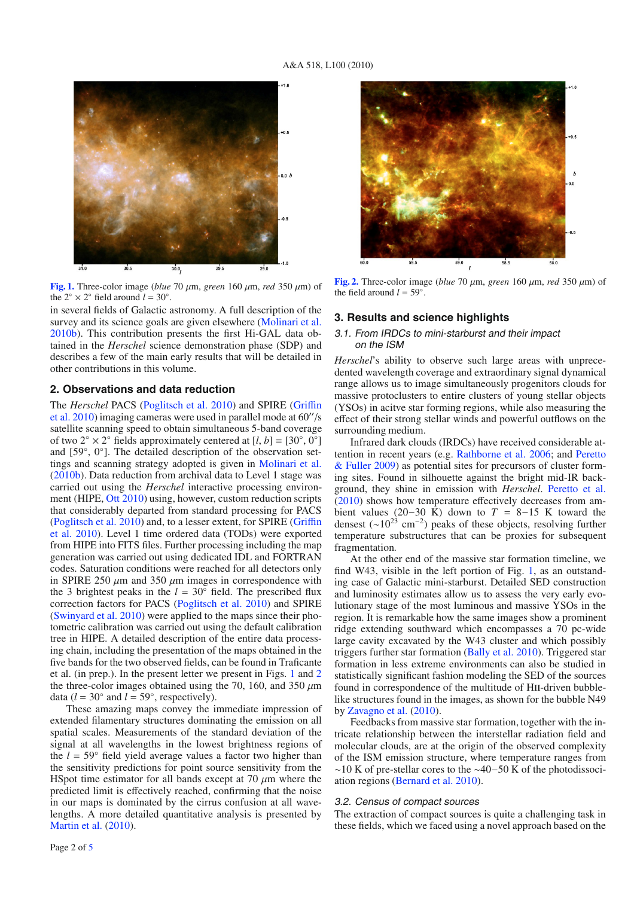<span id="page-1-0"></span>

**[Fig. 1.](http://dexter.edpsciences.org/applet.php?DOI=10.1051/0004-6361/201014659&pdf_id=1)** Three-color image (*blue* 70  $\mu$ m, *green* 160  $\mu$ m, *red* 350  $\mu$ m) of the  $2° \times 2°$  field around  $l = 30°$ .

in several fields of Galactic astronomy. A full description of the survey and its science goals are given elsewhere [\(Molinari et al.](#page-3-9) [2010b](#page-3-9)). This contribution presents the first Hi-GAL data obtained in the *Herschel* science demonstration phase (SDP) and describes a few of the main early results that will be detailed in other contributions in this volume.

## **2. Observations and data reduction**

The *Herschel* [PACS](#page-3-11) [\(Poglitsch et al. 2010](#page-3-10)[\)](#page-3-11) [and](#page-3-11) [SPIRE](#page-3-11) [\(](#page-3-11)Griffin et al.  $2010$ ) imaging cameras were used in parallel mode at  $60''/s$ satellite scanning speed to obtain simultaneous 5-band coverage of two 2<sup>°</sup> × 2<sup>°</sup> fields approximately centered at  $[l, b] = [30^\circ, 0^\circ]$ and [59◦, 0◦]. The detailed description of the observation settings and scanning strategy adopted is given in [Molinari et al.](#page-3-9) [\(2010b\)](#page-3-9). Data reduction from archival data to Level 1 stage was carried out using the *Herschel* interactive processing environ-ment (HIPE, [Ott 2010\)](#page-3-12) using, however, custom reduction scripts that considerably departed from standard processing for PACS [\(Poglitsch et al. 2010](#page-3-10)[\) and, to a lesser extent, for SPIRE \(](#page-3-11)Griffin et al. [2010](#page-3-11)). Level 1 time ordered data (TODs) were exported from HIPE into FITS files. Further processing including the map generation was carried out using dedicated IDL and FORTRAN codes. Saturation conditions were reached for all detectors only in SPIRE 250  $\mu$ m and 350  $\mu$ m images in correspondence with the 3 brightest peaks in the  $l = 30°$  field. The prescribed flux correction factors for PACS [\(Poglitsch et al. 2010\)](#page-3-10) and SPIRE [\(Swinyard et al. 2010\)](#page-3-13) were applied to the maps since their photometric calibration was carried out using the default calibration tree in HIPE. A detailed description of the entire data processing chain, including the presentation of the maps obtained in the five bands for the two observed fields, can be found in Traficante et al. (in prep.). In the present letter we present in Figs. [1](#page-1-0) and [2](#page-1-1) the three-color images obtained using the 70, 160, and 350  $\mu$ m data ( $l = 30°$  and  $l = 59°$ , respectively).

These amazing maps convey the immediate impression of extended filamentary structures dominating the emission on all spatial scales. Measurements of the standard deviation of the signal at all wavelengths in the lowest brightness regions of the  $l = 59°$  field yield average values a factor two higher than the sensitivity predictions for point source sensitivity from the HSpot time estimator for all bands except at 70  $\mu$ m where the predicted limit is effectively reached, confirming that the noise in our maps is dominated by the cirrus confusion at all wavelengths. A more detailed quantitative analysis is presented by [Martin et al.](#page-3-14) [\(2010](#page-3-14)).

<span id="page-1-1"></span>

**[Fig. 2.](http://dexter.edpsciences.org/applet.php?DOI=10.1051/0004-6361/201014659&pdf_id=2)** Three-color image (*blue* 70 μm, *green* 160 μm, *red* 350 μm) of the field around  $l = 59°$ .

#### **3. Results and science highlights**

### 3.1. From IRDCs to mini-starburst and their impact on the ISM

*Herschel*'s ability to observe such large areas with unprecedented wavelength coverage and extraordinary signal dynamical range allows us to image simultaneously progenitors clouds for massive protoclusters to entire clusters of young stellar objects (YSOs) in acitve star forming regions, while also measuring the effect of their strong stellar winds and powerful outflows on the surrounding medium.

Infrared dark clouds (IRDCs) have received considerable attention in recent years (e.g. [Rathborne et al. 2006](#page-3-15)[; and](#page-3-16) Peretto & Fuller [2009](#page-3-16)) as potential sites for precursors of cluster forming sites. Found in silhouette against the bright mid-IR background, they shine in emission with *Herschel*. [Peretto et al.](#page-3-17) [\(2010](#page-3-17)) shows how temperature effectively decreases from ambient values (20−30 K) down to  $T = 8-15$  K toward the densest ( $\sim$ 10<sup>23</sup> cm<sup>-2</sup>) peaks of these objects, resolving further temperature substructures that can be proxies for subsequent fragmentation.

At the other end of the massive star formation timeline, we find W43, visible in the left portion of Fig. [1,](#page-1-0) as an outstanding case of Galactic mini-starburst. Detailed SED construction and luminosity estimates allow us to assess the very early evolutionary stage of the most luminous and massive YSOs in the region. It is remarkable how the same images show a prominent ridge extending southward which encompasses a 70 pc-wide large cavity excavated by the W43 cluster and which possibly triggers further star formation [\(Bally et al. 2010\)](#page-3-18). Triggered star formation in less extreme environments can also be studied in statistically significant fashion modeling the SED of the sources found in correspondence of the multitude of HII-driven bubblelike structures found in the images, as shown for the bubble N49 by [Zavagno et al.](#page-3-19) [\(2010\)](#page-3-19).

Feedbacks from massive star formation, together with the intricate relationship between the interstellar radiation field and molecular clouds, are at the origin of the observed complexity of the ISM emission structure, where temperature ranges from ∼10 K of pre-stellar cores to the ∼40−50 K of the photodissociation regions [\(Bernard et al. 2010\)](#page-3-20).

#### <span id="page-1-2"></span>3.2. Census of compact sources

The extraction of compact sources is quite a challenging task in these fields, which we faced using a novel approach based on the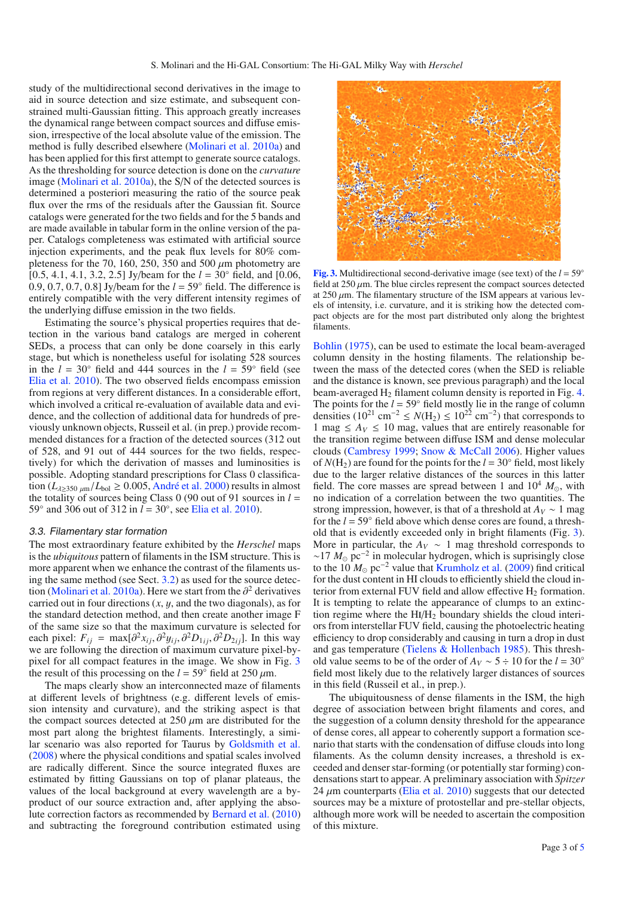study of the multidirectional second derivatives in the image to aid in source detection and size estimate, and subsequent constrained multi-Gaussian fitting. This approach greatly increases the dynamical range between compact sources and diffuse emission, irrespective of the local absolute value of the emission. The method is fully described elsewhere [\(Molinari et al. 2010a\)](#page-3-21) and has been applied for this first attempt to generate source catalogs. As the thresholding for source detection is done on the *curvature* image [\(Molinari et al. 2010a](#page-3-21)), the S/N of the detected sources is determined a posteriori measuring the ratio of the source peak flux over the rms of the residuals after the Gaussian fit. Source catalogs were generated for the two fields and for the 5 bands and are made available in tabular form in the online version of the paper. Catalogs completeness was estimated with artificial source injection experiments, and the peak flux levels for 80% completeness for the 70, 160, 250,  $\overline{350}$  and 500  $\mu$ m photometry are [0.5, 4.1, 4.1, 3.2, 2.5] Jy/beam for the *l* = 30◦ field, and [0.06, 0.9, 0.7, 0.7, 0.8] Jy/beam for the *l* = 59◦ field. The difference is entirely compatible with the very different intensity regimes of the underlying diffuse emission in the two fields.

Estimating the source's physical properties requires that detection in the various band catalogs are merged in coherent SEDs, a process that can only be done coarsely in this early stage, but which is nonetheless useful for isolating 528 sources in the  $l = 30°$  field and 444 sources in the  $l = 59°$  field (see [Elia et al. 2010](#page-3-22)). The two observed fields encompass emission from regions at very different distances. In a considerable effort, which involved a critical re-evaluation of available data and evidence, and the collection of additional data for hundreds of previously unknown objects, Russeil et al. (in prep.) provide recommended distances for a fraction of the detected sources (312 out of 528, and 91 out of 444 sources for the two fields, respectively) for which the derivation of masses and luminosities is possible. Adopting standard prescriptions for Class 0 classification ( $L_{\lambda \geq 350 \mu m}/L_{\text{bol}} \geq 0.005$ , [André et al. 2000\)](#page-3-23) results in almost the totality of sources being Class 0 (90 out of 91 sources in  $l =$ 59◦ and 306 out of 312 in *l* = 30◦, see [Elia et al. 2010](#page-3-22)).

#### 3.3. Filamentary star formation

The most extraordinary feature exhibited by the *Herschel* maps is the *ubiquitous* pattern of filaments in the ISM structure. This is more apparent when we enhance the contrast of the filaments using the same method (see Sect. [3.2\)](#page-1-2) as used for the source detec-tion [\(Molinari et al. 2010a\)](#page-3-21). Here we start from the  $\partial^2$  derivatives carried out in four directions (*x*, y, and the two diagonals), as for the standard detection method, and then create another image F of the same size so that the maximum curvature is selected for each pixel:  $F_{ij} = \max[\partial^2 x_{ij}, \partial^2 y_{ij}, \partial^2 D_{1ij}, \partial^2 D_{2ij}]$ . In this way we are following the direction of maximum curvature pixel-bypixel for all compact features in the image. We show in Fig. [3](#page-2-0) the result of this processing on the  $l = 59^\circ$  field at 250  $\mu$ m.

The maps clearly show an interconnected maze of filaments at different levels of brightness (e.g. different levels of emission intensity and curvature), and the striking aspect is that the compact sources detected at  $250 \mu m$  are distributed for the most part along the brightest filaments. Interestingly, a similar scenario was also reported for Taurus by [Goldsmith et al.](#page-3-24) [\(2008\)](#page-3-24) where the physical conditions and spatial scales involved are radically different. Since the source integrated fluxes are estimated by fitting Gaussians on top of planar plateaus, the values of the local background at every wavelength are a byproduct of our source extraction and, after applying the absolute correction factors as recommended by [Bernard et al.](#page-3-20) [\(2010\)](#page-3-20) and subtracting the foreground contribution estimated using

<span id="page-2-0"></span>

**[Fig. 3.](http://dexter.edpsciences.org/applet.php?DOI=10.1051/0004-6361/201014659&pdf_id=3)** Multidirectional second-derivative image (see text) of the  $l = 59°$ field at  $250 \mu$ m. The blue circles represent the compact sources detected at 250  $\mu$ m. The filamentary structure of the ISM appears at various levels of intensity, i.e. curvature, and it is striking how the detected compact objects are for the most part distributed only along the brightest filaments.

[Bohlin](#page-3-25) [\(1975](#page-3-25)), can be used to estimate the local beam-averaged column density in the hosting filaments. The relationship between the mass of the detected cores (when the SED is reliable and the distance is known, see previous paragraph) and the local beam-averaged  $H_2$  filament column density is reported in Fig. [4.](#page-3-26) The points for the  $l = 59°$  field mostly lie in the range of column densities (10<sup>21</sup> cm<sup>-2</sup> ≤  $N(H_2)$  ≤ 10<sup>22</sup> cm<sup>-2</sup>) that corresponds to 1 mag  $\leq A_V \leq 10$  mag, values that are entirely reasonable for the transition regime between diffuse ISM and dense molecular clouds [\(Cambresy 1999;](#page-3-27) [Snow & McCall 2006](#page-3-28)). Higher values of  $N(H_2)$  are found for the points for the  $l = 30^\circ$  field, most likely due to the larger relative distances of the sources in this latter field. The core masses are spread between 1 and  $10^4$   $M_{\odot}$ , with no indication of a correlation between the two quantities. The strong impression, however, is that of a threshold at  $A_V \sim 1$  mag for the *l* = 59◦ field above which dense cores are found, a threshold that is evidently exceeded only in bright filaments (Fig. [3\)](#page-2-0). More in particular, the  $A_V \sim 1$  mag threshold corresponds to  $\sim$ 17 *M*<sub>o</sub> pc<sup>−2</sup> in molecular hydrogen, which is suprisingly close to the  $10 M_{\odot}$  pc<sup>-2</sup> value that [Krumholz et al.](#page-3-29) [\(2009\)](#page-3-29) find critical for the dust content in HI clouds to efficiently shield the cloud interior from external FUV field and allow effective  $H_2$  formation. It is tempting to relate the appearance of clumps to an extinction regime where the  $\text{H}_{1}/\text{H}_{2}$  boundary shields the cloud interiors from interstellar FUV field, causing the photoelectric heating efficiency to drop considerably and causing in turn a drop in dust and gas temperature [\(Tielens & Hollenbach 1985](#page-3-30)). This threshold value seems to be of the order of  $A_V \sim 5 \div 10$  for the  $l = 30^\circ$ field most likely due to the relatively larger distances of sources in this field (Russeil et al., in prep.).

The ubiquitousness of dense filaments in the ISM, the high degree of association between bright filaments and cores, and the suggestion of a column density threshold for the appearance of dense cores, all appear to coherently support a formation scenario that starts with the condensation of diffuse clouds into long filaments. As the column density increases, a threshold is exceeded and denser star-forming (or potentially star forming) condensations start to appear. A preliminary association with *Spitzer* 24  $\mu$ m counterparts [\(Elia et al. 2010](#page-3-22)) suggests that our detected sources may be a mixture of protostellar and pre-stellar objects, although more work will be needed to ascertain the composition of this mixture.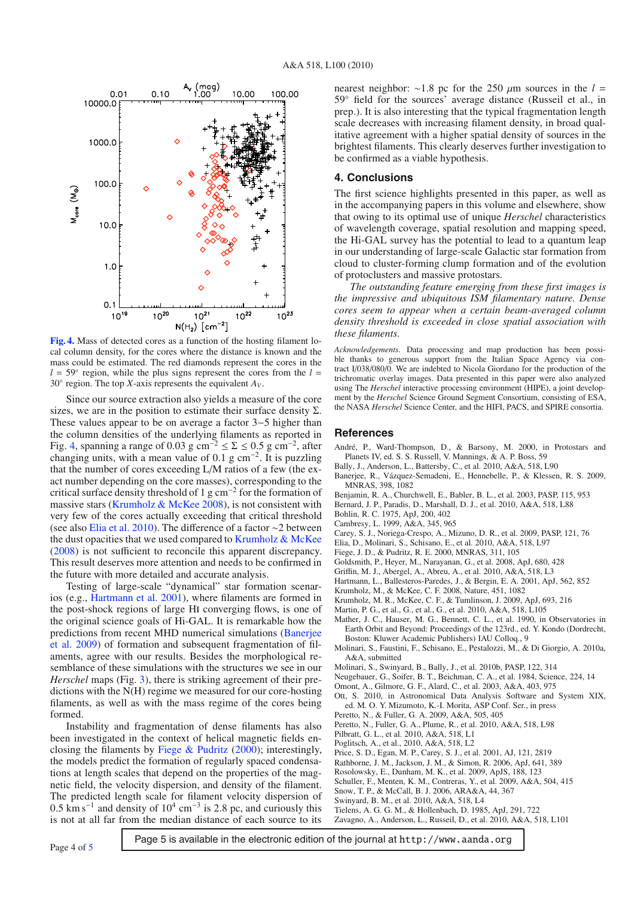<span id="page-3-26"></span>

**[Fig. 4.](http://dexter.edpsciences.org/applet.php?DOI=10.1051/0004-6361/201014659&pdf_id=4)** Mass of detected cores as a function of the hosting filament local column density, for the cores where the distance is known and the mass could be estimated. The red diamonds represent the cores in the  $l = 59°$  region, while the plus signs represent the cores from the  $l =$ 30 $\degree$  region. The top *X*-axis represents the equivalent  $A_V$ .

Since our source extraction also yields a measure of the core sizes, we are in the position to estimate their surface density  $\Sigma$ . These values appear to be on average a factor 3−5 higher than the column densities of the underlying filaments as reported in Fig. [4,](#page-3-26) spanning a range of 0.03 g cm<sup>-2</sup>  $\leq \Sigma \leq 0.5$  g cm<sup>-2</sup>, after changing units, with a mean value of 0.1 g cm<sup>-2</sup>. It is puzzling that the number of cores exceeding L/M ratios of a few (the exact number depending on the core masses), corresponding to the critical surface density threshold of 1 g cm<sup>-2</sup> for the formation of massive stars (Krumholz  $\&$  McKee 2008), is not consistent with very few of the cores actually exceeding that critical threshold (see also [Elia et al. 2010](#page-3-22)). The difference of a factor ∼2 between the dust opacities that we used compared to [Krumholz & McKee](#page-3-31) [\(2008\)](#page-3-31) is not sufficient to reconcile this apparent discrepancy. This result deserves more attention and needs to be confirmed in the future with more detailed and accurate analysis.

Testing of large-scale "dynamical" star formation scenarios (e.g., [Hartmann et al. 2001](#page-3-32)), where filaments are formed in the post-shock regions of large Hi converging flows, is one of the original science goals of Hi-GAL. It is remarkable how the predi[ctions from recent MHD numerical simulations \(](#page-3-33)Banerjee et al. [2009](#page-3-33)) of formation and subsequent fragmentation of filaments, agree with our results. Besides the morphological resemblance of these simulations with the structures we see in our *Herschel* maps (Fig. [3\)](#page-2-0), there is striking agreement of their predictions with the N(H) regime we measured for our core-hosting filaments, as well as with the mass regime of the cores being formed.

Instability and fragmentation of dense filaments has also been investigated in the context of helical magnetic fields enclosing the filaments by Fiege  $\&$  Pudritz [\(2000\)](#page-3-34); interestingly, the models predict the formation of regularly spaced condensations at length scales that depend on the properties of the magnetic field, the velocity dispersion, and density of the filament. The predicted length scale for filament velocity dispersion of 0.5 km s<sup>-1</sup> and density of 10<sup>4</sup> cm<sup>-3</sup> is 2.8 pc, and curiously this is not at all far from the median distance of each source to its

nearest neighbor:  $\sim$ 1.8 pc for the 250  $\mu$ m sources in the *l* = 59° field for the sources' average distance (Russeil et al., in prep.). It is also interesting that the typical fragmentation length scale decreases with increasing filament density, in broad qualitative agreement with a higher spatial density of sources in the brightest filaments. This clearly deserves further investigation to be confirmed as a viable hypothesis.

#### **4. Conclusions**

The first science highlights presented in this paper, as well as in the accompanying papers in this volume and elsewhere, show that owing to its optimal use of unique *Herschel* characteristics of wavelength coverage, spatial resolution and mapping speed, the Hi-GAL survey has the potential to lead to a quantum leap in our understanding of large-scale Galactic star formation from cloud to cluster-forming clump formation and of the evolution of protoclusters and massive protostars.

*The outstanding feature emerging from these first images is the impressive and ubiquitous ISM filamentary nature. Dense cores seem to appear when a certain beam-averaged column density threshold is exceeded in close spatial association with these filaments.*

*Acknowledgements.* Data processing and map production has been possible thanks to generous support from the Italian Space Agency via contract I/038/080/0. We are indebted to Nicola Giordano for the production of the trichromatic overlay images. Data presented in this paper were also analyzed using The *Herschel* interactive processing environment (HIPE), a joint development by the *Herschel* Science Ground Segment Consortium, consisting of ESA, the NASA *Herschel* Science Center, and the HIFI, PACS, and SPIRE consortia.

#### **References**

- <span id="page-3-23"></span>André, P., Ward-Thompson, D., & Barsony, M. 2000, in Protostars and Planets IV, ed. S. S. Russell, V. Mannings, & A. P. Boss, 59
- <span id="page-3-33"></span><span id="page-3-18"></span>Bally, J., Anderson, L., Battersby, C., et al. 2010, A&A, 518, L90
- Baneriee, R., Vázquez-Semadeni, E., Hennebelle, P., & Klessen, R. S. 2009, MNRAS, 398, 1082
- <span id="page-3-4"></span>Benjamin, R. A., Churchwell, E., Babler, B. L., et al. 2003, PASP, 115, 953
- <span id="page-3-20"></span>Bernard, J. P., Paradis, D., Marshall, D. J., et al. 2010, A&A, 518, L88
- <span id="page-3-25"></span>Bohlin, R. C. 1975, ApJ, 200, 402
- <span id="page-3-27"></span>Cambresy, L. 1999, A&A, 345, 965
- Carey, S. J., Noriega-Crespo, A., Mizuno, D. R., et al. 2009, PASP, 121, 76
- <span id="page-3-22"></span><span id="page-3-5"></span>Elia, D., Molinari, S., Schisano, E., et al. 2010, A&A, 518, L97
- <span id="page-3-34"></span>Fiege, J. D., & Pudritz, R. E. 2000, MNRAS, 311, 105
- <span id="page-3-24"></span>Goldsmith, P., Heyer, M., Narayanan, G., et al. 2008, ApJ, 680, 428
- Griffin, M. J., Abergel, A., Abreu, A., et al. 2010, A&A, 518, L3
- Hartmann, L., Ballesteros-Paredes, J., & Bergin, E. A. 2001, ApJ, 562, 852
- <span id="page-3-32"></span><span id="page-3-31"></span><span id="page-3-29"></span><span id="page-3-14"></span><span id="page-3-11"></span>Krumholz, M., & McKee, C. F. 2008, Nature, 451, 1082
- Krumholz, M. R., McKee, C. F., & Tumlinson, J. 2009, ApJ, 693, 216
- Martin, P. G., et al., G., et al., G., et al. 2010, A&A, 518, L105
- <span id="page-3-1"></span>Mather, J. C., Hauser, M. G., Bennett, C. L., et al. 1990, in Observatories in Earth Orbit and Beyond: Proceedings of the 123rd., ed. Y. Kondo (Dordrecht, Boston: Kluwer Academic Publishers) IAU Colloq., 9
- <span id="page-3-21"></span>Molinari, S., Faustini, F., Schisano, E., Pestalozzi, M., & Di Giorgio, A. 2010a, A&A, submitted
- <span id="page-3-9"></span>Molinari, S., Swinyard, B., Bally, J., et al. 2010b, PASP, 122, 314
- Neugebauer, G., Soifer, B. T., Beichman, C. A., et al. 1984, Science, 224, 14

Omont, A., Gilmore, G. F., Alard, C., et al. 2003, A&A, 403, 975

- Ott, S. 2010, in Astronomical Data Analysis Software and System XIX, ed. M. O. Y. Mizumoto, K.-I. Morita, ASP Conf. Ser., in press
- Peretto, N., & Fuller, G. A. 2009, A&A, 505, 405
- Peretto, N., Fuller, G. A., Plume, R., et al. 2010, A&A, 518, L98
- Poglitsch, A., et al., 2010, A&A, 518, L2
- Price, S. D., Egan, M. P., Carey, S. J., et al. 2001, AJ, 121, 2819
- Rathborne, J. M., Jackson, J. M., & Simon, R. 2006, ApJ, 641, 389
- Rosolowsky, E., Dunham, M. K., et al. 2009, ApJS, 188, 123
- Schuller, F., Menten, K. M., Contreras, Y., et al. 2009, A&A, 504, 415
- <span id="page-3-28"></span>Snow, T. P., & McCall, B. J. 2006, ARA&A, 44, 367
- <span id="page-3-13"></span>Swinyard, B. M., et al. 2010, A&A, 518, L4
- Tielens, A. G. G. M., & Hollenbach, D. 1985, ApJ, 291, 722

<span id="page-3-30"></span><span id="page-3-19"></span>Zavagno, A., Anderson, L., Russeil, D., et al. 2010, A&A, 518, L101

Page 4 of [5](#page-4-0) **Page 5** is available in the electronic edition of the journal at http://www.aanda.org

<span id="page-3-17"></span><span id="page-3-16"></span><span id="page-3-15"></span><span id="page-3-12"></span><span id="page-3-10"></span><span id="page-3-8"></span><span id="page-3-7"></span><span id="page-3-6"></span><span id="page-3-3"></span><span id="page-3-2"></span><span id="page-3-0"></span>Pilbratt, G. L., et al. 2010, A&A, 518, L1